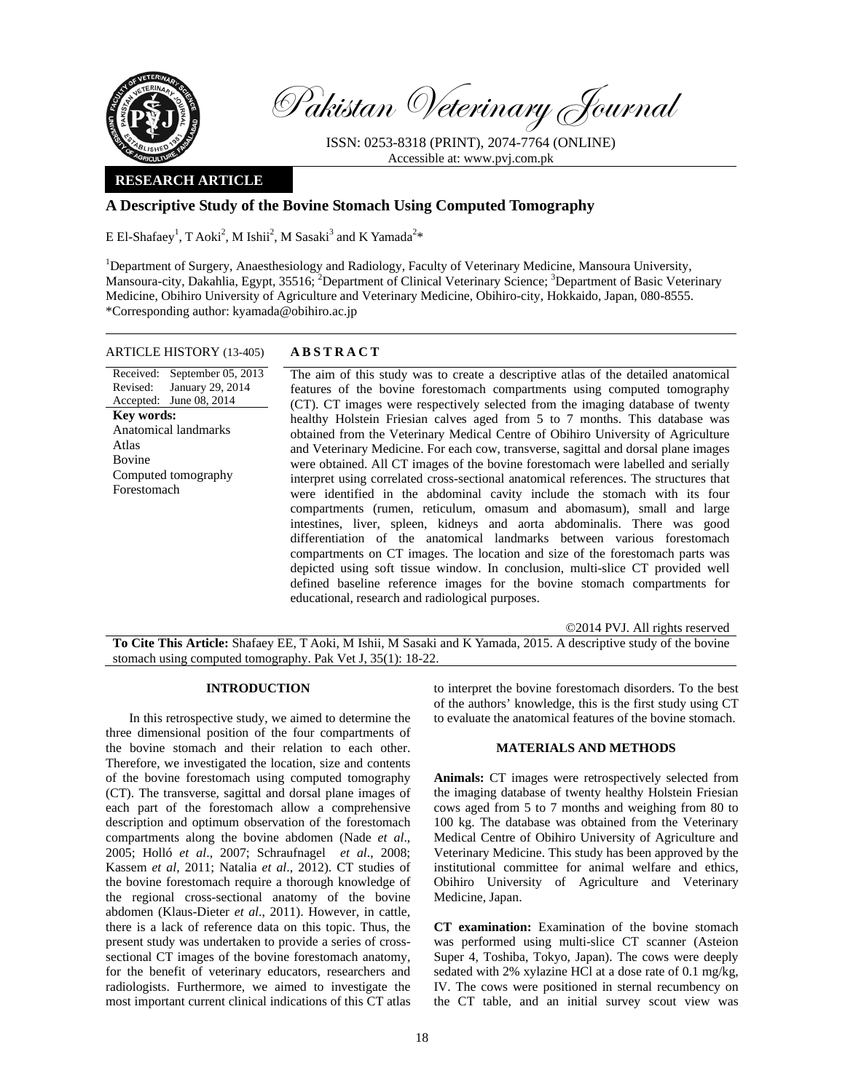

Pakistan Veterinary Journal

ISSN: 0253-8318 (PRINT), 2074-7764 (ONLINE) Accessible at: www.pvj.com.pk

# **RESEARCH ARTICLE**

# **A Descriptive Study of the Bovine Stomach Using Computed Tomography**

E El-Shafaey<sup>1</sup>, T Aoki<sup>2</sup>, M Ishii<sup>2</sup>, M Sasaki<sup>3</sup> and K Yamada<sup>2\*</sup>

<sup>1</sup>Department of Surgery, Anaesthesiology and Radiology, Faculty of Veterinary Medicine, Mansoura University, Mansoura-city, Dakahlia, Egypt, 35516; <sup>2</sup>Department of Clinical Veterinary Science; <sup>3</sup>Department of Basic Veterinary Medicine, Obihiro University of Agriculture and Veterinary Medicine, Obihiro-city, Hokkaido, Japan, 080-8555. \*Corresponding author: kyamada@obihiro.ac.jp

## ARTICLE HISTORY (13-405) **ABSTRACT**

Received: September 05, 2013 Revised: Accepted: June 08, 2014 January 29, 2014 **Key words:**  Anatomical landmarks Atlas Bovine Computed tomography Forestomach

 The aim of this study was to create a descriptive atlas of the detailed anatomical features of the bovine forestomach compartments using computed tomography (CT). CT images were respectively selected from the imaging database of twenty healthy Holstein Friesian calves aged from 5 to 7 months. This database was obtained from the Veterinary Medical Centre of Obihiro University of Agriculture and Veterinary Medicine. For each cow, transverse, sagittal and dorsal plane images were obtained. All CT images of the bovine forestomach were labelled and serially interpret using correlated cross-sectional anatomical references. The structures that were identified in the abdominal cavity include the stomach with its four compartments (rumen, reticulum, omasum and abomasum), small and large intestines, liver, spleen, kidneys and aorta abdominalis. There was good differentiation of the anatomical landmarks between various forestomach compartments on CT images. The location and size of the forestomach parts was depicted using soft tissue window. In conclusion, multi-slice CT provided well defined baseline reference images for the bovine stomach compartments for educational, research and radiological purposes.

©2014 PVJ. All rights reserved **To Cite This Article:** Shafaey EE, T Aoki, M Ishii, M Sasaki and K Yamada, 2015. A descriptive study of the bovine stomach using computed tomography. Pak Vet J, 35(1): 18-22.

### **INTRODUCTION**

In this retrospective study, we aimed to determine the three dimensional position of the four compartments of the bovine stomach and their relation to each other. Therefore, we investigated the location, size and contents of the bovine forestomach using computed tomography (CT). The transverse, sagittal and dorsal plane images of each part of the forestomach allow a comprehensive description and optimum observation of the forestomach compartments along the bovine abdomen (Nade *et al*., 2005; Holló *et al*., 2007; Schraufnagel *et al*., 2008; Kassem *et al*, 2011; Natalia *et al*., 2012). CT studies of the bovine forestomach require a thorough knowledge of the regional cross-sectional anatomy of the bovine abdomen (Klaus-Dieter *et al*., 2011). However, in cattle, there is a lack of reference data on this topic. Thus, the present study was undertaken to provide a series of crosssectional CT images of the bovine forestomach anatomy, for the benefit of veterinary educators, researchers and radiologists. Furthermore, we aimed to investigate the most important current clinical indications of this CT atlas to interpret the bovine forestomach disorders. To the best of the authors' knowledge, this is the first study using CT to evaluate the anatomical features of the bovine stomach.

### **MATERIALS AND METHODS**

**Animals:** CT images were retrospectively selected from the imaging database of twenty healthy Holstein Friesian cows aged from 5 to 7 months and weighing from 80 to 100 kg. The database was obtained from the Veterinary Medical Centre of Obihiro University of Agriculture and Veterinary Medicine. This study has been approved by the institutional committee for animal welfare and ethics, Obihiro University of Agriculture and Veterinary Medicine, Japan.

**CT examination:** Examination of the bovine stomach was performed using multi-slice CT scanner (Asteion Super 4, Toshiba, Tokyo, Japan). The cows were deeply sedated with 2% xylazine HCl at a dose rate of 0.1 mg/kg, IV. The cows were positioned in sternal recumbency on the CT table, and an initial survey scout view was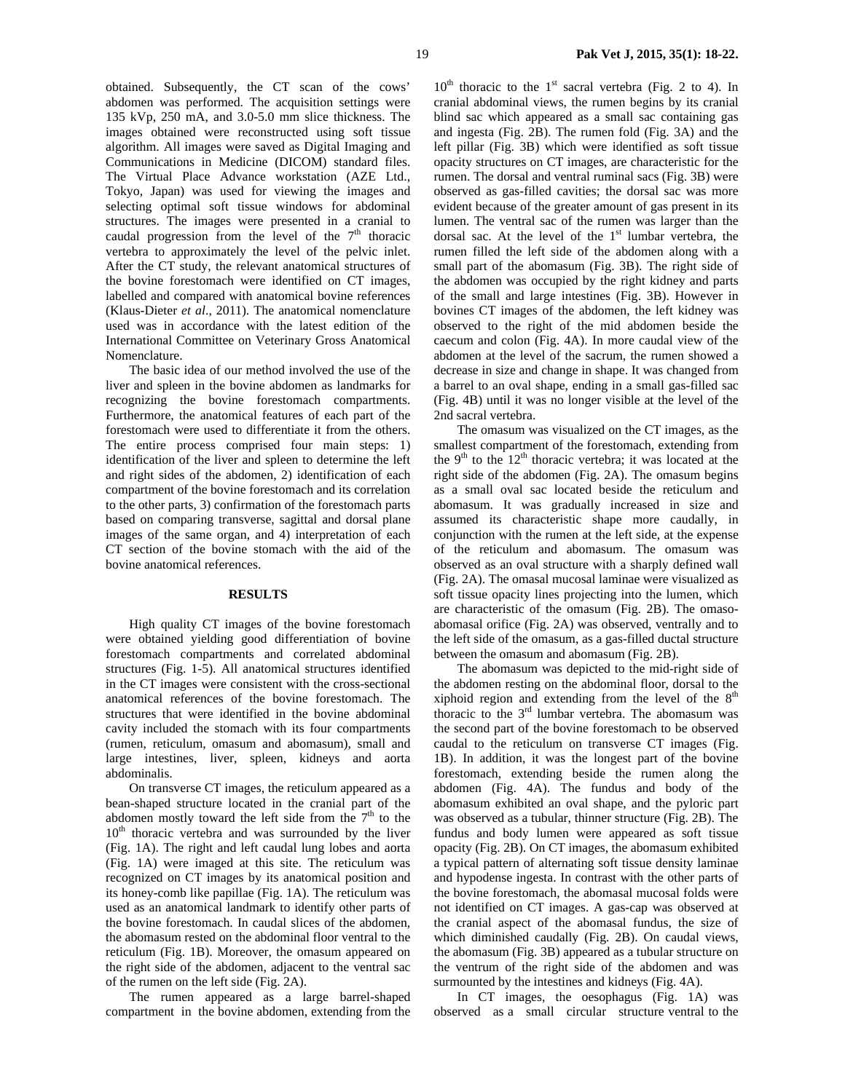obtained. Subsequently, the CT scan of the cows' abdomen was performed. The acquisition settings were 135 kVp, 250 mA, and 3.0-5.0 mm slice thickness. The images obtained were reconstructed using soft tissue algorithm. All images were saved as Digital Imaging and Communications in Medicine (DICOM) standard files. The Virtual Place Advance workstation (AZE Ltd., Tokyo, Japan) was used for viewing the images and selecting optimal soft tissue windows for abdominal structures. The images were presented in a cranial to caudal progression from the level of the  $7<sup>th</sup>$  thoracic vertebra to approximately the level of the pelvic inlet. After the CT study, the relevant anatomical structures of the bovine forestomach were identified on CT images, labelled and compared with anatomical bovine references (Klaus-Dieter *et al*., 2011). The anatomical nomenclature used was in accordance with the latest edition of the International Committee on Veterinary Gross Anatomical Nomenclature.

The basic idea of our method involved the use of the liver and spleen in the bovine abdomen as landmarks for recognizing the bovine forestomach compartments. Furthermore, the anatomical features of each part of the forestomach were used to differentiate it from the others. The entire process comprised four main steps: 1) identification of the liver and spleen to determine the left and right sides of the abdomen, 2) identification of each compartment of the bovine forestomach and its correlation to the other parts, 3) confirmation of the forestomach parts based on comparing transverse, sagittal and dorsal plane images of the same organ, and 4) interpretation of each CT section of the bovine stomach with the aid of the bovine anatomical references.

#### **RESULTS**

High quality CT images of the bovine forestomach were obtained yielding good differentiation of bovine forestomach compartments and correlated abdominal structures (Fig. 1-5). All anatomical structures identified in the CT images were consistent with the cross-sectional anatomical references of the bovine forestomach. The structures that were identified in the bovine abdominal cavity included the stomach with its four compartments (rumen, reticulum, omasum and abomasum), small and large intestines, liver, spleen, kidneys and aorta abdominalis.

On transverse CT images, the reticulum appeared as a bean-shaped structure located in the cranial part of the abdomen mostly toward the left side from the  $7<sup>th</sup>$  to the  $10<sup>th</sup>$  thoracic vertebra and was surrounded by the liver (Fig. 1A). The right and left caudal lung lobes and aorta (Fig. 1A) were imaged at this site. The reticulum was recognized on CT images by its anatomical position and its honey-comb like papillae (Fig. 1A). The reticulum was used as an anatomical landmark to identify other parts of the bovine forestomach. In caudal slices of the abdomen, the abomasum rested on the abdominal floor ventral to the reticulum (Fig. 1B). Moreover, the omasum appeared on the right side of the abdomen, adjacent to the ventral sac of the rumen on the left side (Fig. 2A).

The rumen appeared as a large barrel-shaped compartment in the bovine abdomen, extending from the  $10<sup>th</sup>$  thoracic to the 1<sup>st</sup> sacral vertebra (Fig. 2 to 4). In cranial abdominal views, the rumen begins by its cranial blind sac which appeared as a small sac containing gas and ingesta (Fig. 2B). The rumen fold (Fig. 3A) and the left pillar (Fig. 3B) which were identified as soft tissue opacity structures on CT images, are characteristic for the rumen. The dorsal and ventral ruminal sacs (Fig. 3B) were observed as gas-filled cavities; the dorsal sac was more evident because of the greater amount of gas present in its lumen. The ventral sac of the rumen was larger than the dorsal sac. At the level of the  $1<sup>st</sup>$  lumbar vertebra, the rumen filled the left side of the abdomen along with a small part of the abomasum (Fig. 3B). The right side of the abdomen was occupied by the right kidney and parts of the small and large intestines (Fig. 3B). However in bovines CT images of the abdomen, the left kidney was observed to the right of the mid abdomen beside the caecum and colon (Fig. 4A). In more caudal view of the abdomen at the level of the sacrum, the rumen showed a decrease in size and change in shape. It was changed from a barrel to an oval shape, ending in a small gas-filled sac (Fig. 4B) until it was no longer visible at the level of the 2nd sacral vertebra.

The omasum was visualized on the CT images, as the smallest compartment of the forestomach, extending from the  $9<sup>th</sup>$  to the  $12<sup>th</sup>$  thoracic vertebra; it was located at the right side of the abdomen (Fig. 2A). The omasum begins as a small oval sac located beside the reticulum and abomasum. It was gradually increased in size and assumed its characteristic shape more caudally, in conjunction with the rumen at the left side, at the expense of the reticulum and abomasum. The omasum was observed as an oval structure with a sharply defined wall (Fig. 2A). The omasal mucosal laminae were visualized as soft tissue opacity lines projecting into the lumen, which are characteristic of the omasum (Fig. 2B). The omasoabomasal orifice (Fig. 2A) was observed, ventrally and to the left side of the omasum, as a gas-filled ductal structure between the omasum and abomasum (Fig. 2B).

The abomasum was depicted to the mid-right side of the abdomen resting on the abdominal floor, dorsal to the xiphoid region and extending from the level of the  $8<sup>th</sup>$ thoracic to the  $3<sup>rd</sup>$  lumbar vertebra. The abomasum was the second part of the bovine forestomach to be observed caudal to the reticulum on transverse CT images (Fig. 1B). In addition, it was the longest part of the bovine forestomach, extending beside the rumen along the abdomen (Fig. 4A). The fundus and body of the abomasum exhibited an oval shape, and the pyloric part was observed as a tubular, thinner structure (Fig. 2B). The fundus and body lumen were appeared as soft tissue opacity (Fig. 2B). On CT images, the abomasum exhibited a typical pattern of alternating soft tissue density laminae and hypodense ingesta. In contrast with the other parts of the bovine forestomach, the abomasal mucosal folds were not identified on CT images. A gas-cap was observed at the cranial aspect of the abomasal fundus, the size of which diminished caudally (Fig. 2B). On caudal views, the abomasum (Fig. 3B) appeared as a tubular structure on the ventrum of the right side of the abdomen and was surmounted by the intestines and kidneys (Fig. 4A).

In CT images, the oesophagus (Fig. 1A) was observed as a small circular structure ventral to the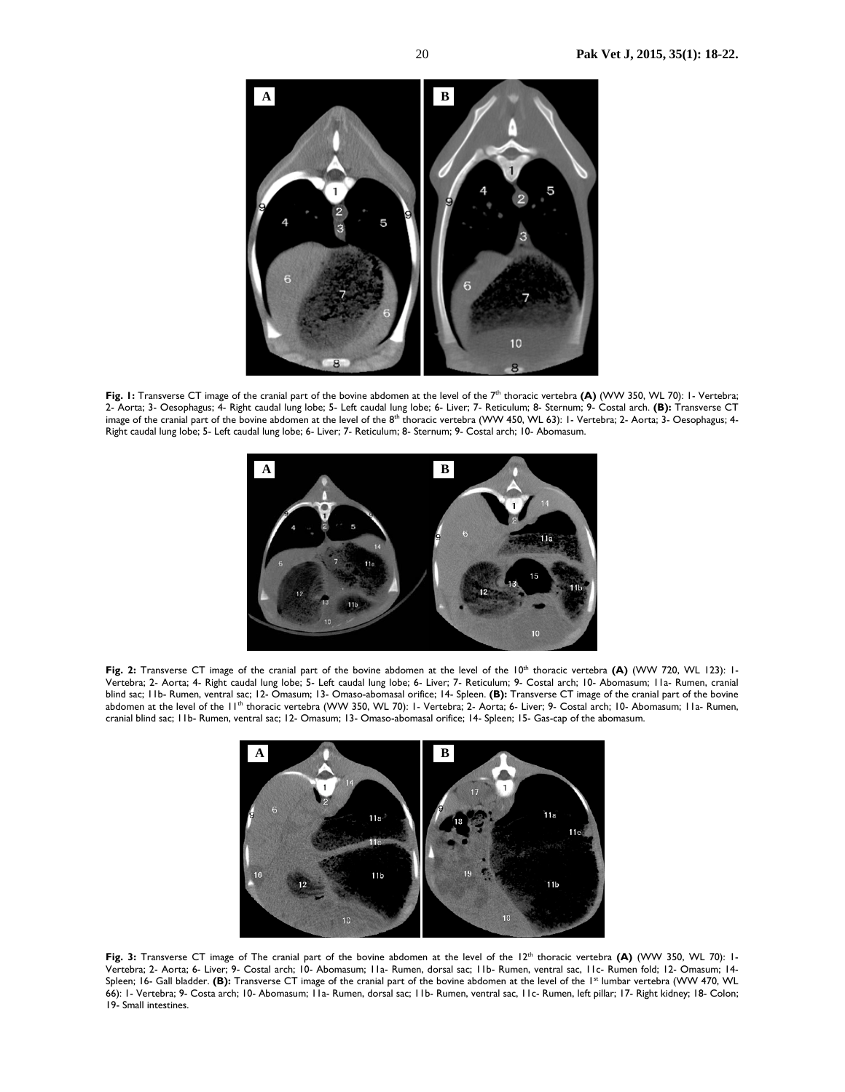

Fig. 1: Transverse CT image of the cranial part of the bovine abdomen at the level of the 7<sup>th</sup> thoracic vertebra **(A)** (WW 350, WL 70): 1- Vertebra; 2- Aorta; 3- Oesophagus; 4- Right caudal lung lobe; 5- Left caudal lung lobe; 6- Liver; 7- Reticulum; 8- Sternum; 9- Costal arch. **(B):** Transverse CT image of the cranial part of the bovine abdomen at the level of the 8<sup>th</sup> thoracic vertebra (WW 450, WL 63): 1- Vertebra; 2- Aorta; 3- Oesophagus; 4-Right caudal lung lobe; 5- Left caudal lung lobe; 6- Liver; 7- Reticulum; 8- Sternum; 9- Costal arch; 10- Abomasum.



Fig. 2: Transverse CT image of the cranial part of the bovine abdomen at the level of the 10<sup>th</sup> thoracic vertebra (A) (WW 720, WL 123): 1-Vertebra; 2- Aorta; 4- Right caudal lung lobe; 5- Left caudal lung lobe; 6- Liver; 7- Reticulum; 9- Costal arch; 10- Abomasum; 11a- Rumen, cranial blind sac; 11b- Rumen, ventral sac; 12- Omasum; 13- Omaso-abomasal orifice; 14- Spleen. **(B):** Transverse CT image of the cranial part of the bovine abdomen at the level of the 11<sup>th</sup> thoracic vertebra (WW 350, WL 70): 1- Vertebra; 2- Aorta; 6- Liver; 9- Costal arch; 10- Abomasum; 11a- Rumen, cranial blind sac; 11b- Rumen, ventral sac; 12- Omasum; 13- Omaso-abomasal orifice; 14- Spleen; 15- Gas-cap of the abomasum.



Fig. 3: Transverse CT image of The cranial part of the bovine abdomen at the level of the 12<sup>th</sup> thoracic vertebra (A) (WW 350, WL 70): 1-Vertebra; 2- Aorta; 6- Liver; 9- Costal arch; 10- Abomasum; 11a- Rumen, dorsal sac; 11b- Rumen, ventral sac, 11c- Rumen fold; 12- Omasum; 14- Spleen; 16- Gall bladder. **(B):** Transverse CT image of the cranial part of the bovine abdomen at the level of the 1<sup>st</sup> lumbar vertebra (WW 470, WL 66): 1- Vertebra; 9- Costa arch; 10- Abomasum; 11a- Rumen, dorsal sac; 11b- Rumen, ventral sac, 11c- Rumen, left pillar; 17- Right kidney; 18- Colon; 19- Small intestines.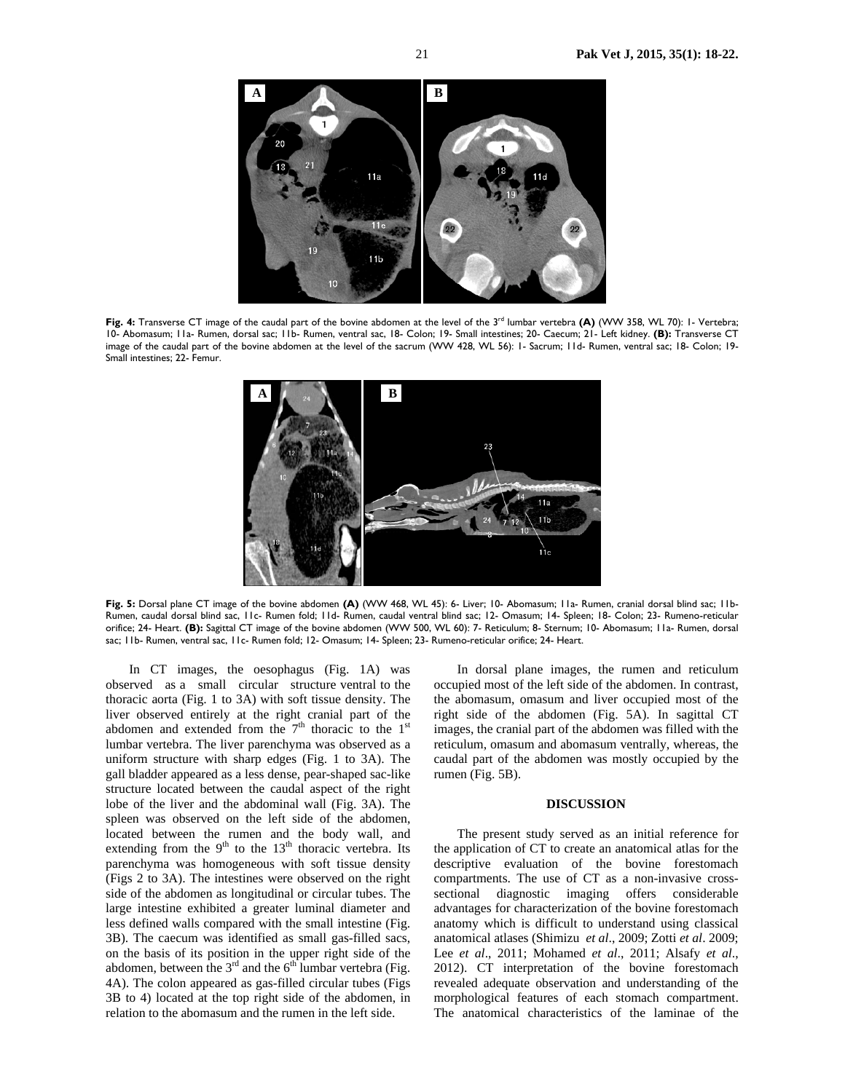

Fig. 4: Transverse CT image of the caudal part of the bovine abdomen at the level of the 3<sup>rd</sup> lumbar vertebra **(A)** (WW 358, WL 70): 1- Vertebra; 10- Abomasum; 11a- Rumen, dorsal sac; 11b- Rumen, ventral sac, 18- Colon; 19- Small intestines; 20- Caecum; 21- Left kidney. **(B):** Transverse CT image of the caudal part of the bovine abdomen at the level of the sacrum (WW 428, WL 56): 1- Sacrum; 11d- Rumen, ventral sac; 18- Colon; 19- Small intestines; 22- Femur.



**Fig. 5:** Dorsal plane CT image of the bovine abdomen **(A)** (WW 468, WL 45): 6- Liver; 10- Abomasum; 11a- Rumen, cranial dorsal blind sac; 11b-Rumen, caudal dorsal blind sac, 11c- Rumen fold; 11d- Rumen, caudal ventral blind sac; 12- Omasum; 14- Spleen; 18- Colon; 23- Rumeno-reticular orifice; 24- Heart. **(B):** Sagittal CT image of the bovine abdomen (WW 500, WL 60): 7- Reticulum; 8- Sternum; 10- Abomasum; 11a- Rumen, dorsal sac; 11b- Rumen, ventral sac, 11c- Rumen fold; 12- Omasum; 14- Spleen; 23- Rumeno-reticular orifice; 24- Heart.

In CT images, the oesophagus (Fig. 1A) was observed as a small circular structure ventral to the thoracic aorta (Fig. 1 to 3A) with soft tissue density. The liver observed entirely at the right cranial part of the abdomen and extended from the  $7<sup>th</sup>$  thoracic to the  $1<sup>st</sup>$ lumbar vertebra. The liver parenchyma was observed as a uniform structure with sharp edges (Fig. 1 to 3A). The gall bladder appeared as a less dense, pear-shaped sac-like structure located between the caudal aspect of the right lobe of the liver and the abdominal wall (Fig. 3A). The spleen was observed on the left side of the abdomen, located between the rumen and the body wall, and extending from the  $9<sup>th</sup>$  to the 13<sup>th</sup> thoracic vertebra. Its parenchyma was homogeneous with soft tissue density (Figs 2 to 3A). The intestines were observed on the right side of the abdomen as longitudinal or circular tubes. The large intestine exhibited a greater luminal diameter and less defined walls compared with the small intestine (Fig. 3B). The caecum was identified as small gas-filled sacs, on the basis of its position in the upper right side of the abdomen, between the  $3<sup>rd</sup>$  and the  $6<sup>th</sup>$  lumbar vertebra (Fig. 4A). The colon appeared as gas-filled circular tubes (Figs 3B to 4) located at the top right side of the abdomen, in relation to the abomasum and the rumen in the left side.

In dorsal plane images, the rumen and reticulum occupied most of the left side of the abdomen. In contrast, the abomasum, omasum and liver occupied most of the right side of the abdomen (Fig. 5A). In sagittal CT images, the cranial part of the abdomen was filled with the reticulum, omasum and abomasum ventrally, whereas, the caudal part of the abdomen was mostly occupied by the rumen (Fig. 5B).

#### **DISCUSSION**

The present study served as an initial reference for the application of CT to create an anatomical atlas for the descriptive evaluation of the bovine forestomach compartments. The use of CT as a non-invasive crosssectional diagnostic imaging offers considerable advantages for characterization of the bovine forestomach anatomy which is difficult to understand using classical anatomical atlases (Shimizu *et al*., 2009; Zotti *et al*. 2009; Lee *et al*., 2011; Mohamed *et al*., 2011; Alsafy *et al*., 2012). CT interpretation of the bovine forestomach revealed adequate observation and understanding of the morphological features of each stomach compartment. The anatomical characteristics of the laminae of the